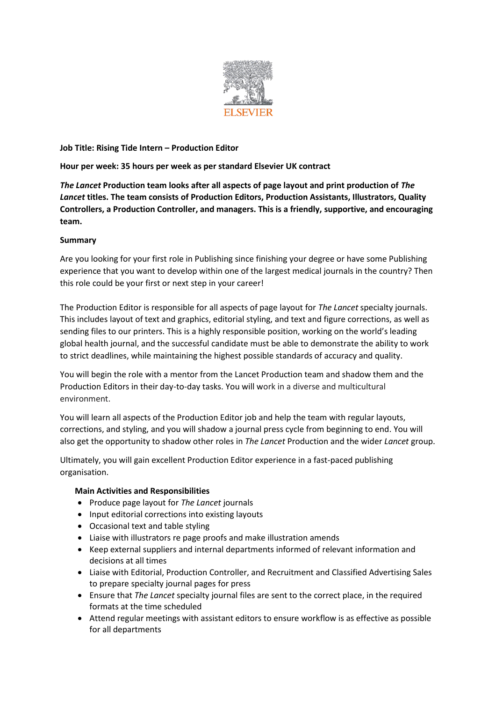

# **Job Title: Rising Tide Intern – Production Editor**

## **Hour per week: 35 hours per week as per standard Elsevier UK contract**

*The Lancet* **Production team looks after all aspects of page layout and print production of** *The Lancet* **titles. The team consists of Production Editors, Production Assistants, Illustrators, Quality Controllers, a Production Controller, and managers. This is a friendly, supportive, and encouraging team.**

## **Summary**

Are you looking for your first role in Publishing since finishing your degree or have some Publishing experience that you want to develop within one of the largest medical journals in the country? Then this role could be your first or next step in your career!

The Production Editor is responsible for all aspects of page layout for *The Lancet* specialty journals. This includes layout of text and graphics, editorial styling, and text and figure corrections, as well as sending files to our printers. This is a highly responsible position, working on the world's leading global health journal, and the successful candidate must be able to demonstrate the ability to work to strict deadlines, while maintaining the highest possible standards of accuracy and quality.

You will begin the role with a mentor from the Lancet Production team and shadow them and the Production Editors in their day-to-day tasks. You will work in a diverse and multicultural environment.

You will learn all aspects of the Production Editor job and help the team with regular layouts, corrections, and styling, and you will shadow a journal press cycle from beginning to end. You will also get the opportunity to shadow other roles in *The Lancet* Production and the wider *Lancet* group.

Ultimately, you will gain excellent Production Editor experience in a fast-paced publishing organisation.

## **Main Activities and Responsibilities**

- Produce page layout for *The Lancet* journals
- Input editorial corrections into existing layouts
- Occasional text and table styling
- Liaise with illustrators re page proofs and make illustration amends
- Keep external suppliers and internal departments informed of relevant information and decisions at all times
- Liaise with Editorial, Production Controller, and Recruitment and Classified Advertising Sales to prepare specialty journal pages for press
- Ensure that *The Lancet* specialty journal files are sent to the correct place, in the required formats at the time scheduled
- Attend regular meetings with assistant editors to ensure workflow is as effective as possible for all departments